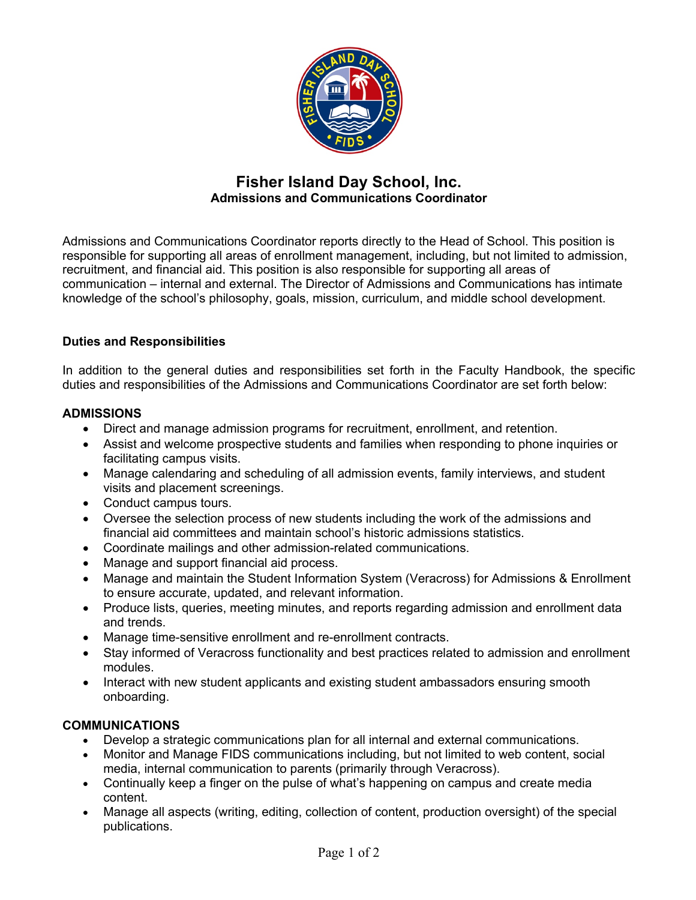

# **Fisher Island Day School, Inc. Admissions and Communications Coordinator**

Admissions and Communications Coordinator reports directly to the Head of School. This position is responsible for supporting all areas of enrollment management, including, but not limited to admission, recruitment, and financial aid. This position is also responsible for supporting all areas of communication – internal and external. The Director of Admissions and Communications has intimate knowledge of the school's philosophy, goals, mission, curriculum, and middle school development.

# **Duties and Responsibilities**

In addition to the general duties and responsibilities set forth in the Faculty Handbook, the specific duties and responsibilities of the Admissions and Communications Coordinator are set forth below:

# **ADMISSIONS**

- Direct and manage admission programs for recruitment, enrollment, and retention.
- Assist and welcome prospective students and families when responding to phone inquiries or facilitating campus visits.
- Manage calendaring and scheduling of all admission events, family interviews, and student visits and placement screenings.
- Conduct campus tours.
- Oversee the selection process of new students including the work of the admissions and financial aid committees and maintain school's historic admissions statistics.
- Coordinate mailings and other admission-related communications.
- Manage and support financial aid process.
- Manage and maintain the Student Information System (Veracross) for Admissions & Enrollment to ensure accurate, updated, and relevant information.
- Produce lists, queries, meeting minutes, and reports regarding admission and enrollment data and trends.
- Manage time-sensitive enrollment and re-enrollment contracts.
- Stay informed of Veracross functionality and best practices related to admission and enrollment modules.
- Interact with new student applicants and existing student ambassadors ensuring smooth onboarding.

# **COMMUNICATIONS**

- Develop a strategic communications plan for all internal and external communications.
- Monitor and Manage FIDS communications including, but not limited to web content, social media, internal communication to parents (primarily through Veracross).
- Continually keep a finger on the pulse of what's happening on campus and create media content.
- Manage all aspects (writing, editing, collection of content, production oversight) of the special publications.